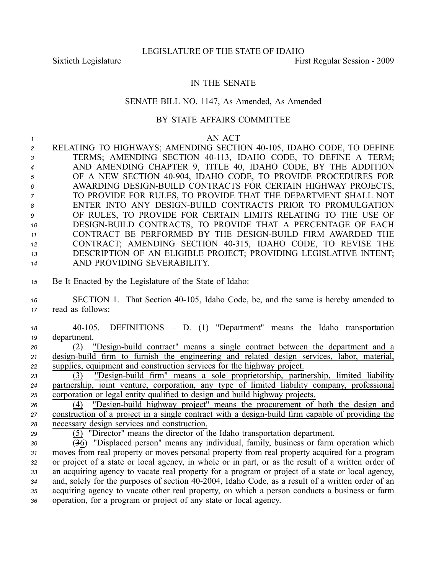## IN THE SENATE

## SENATE BILL NO. 1147, As Amended, As Amended

## BY STATE AFFAIRS COMMITTEE

## *<sup>1</sup>* AN ACT

 RELATING TO HIGHWAYS; AMENDING SECTION 40105, IDAHO CODE, TO DEFINE 3 TERMS; AMENDING SECTION 40-113, IDAHO CODE, TO DEFINE A TERM; AND AMENDING CHAPTER 9, TITLE 40, IDAHO CODE, BY THE ADDITION 5 OF A NEW SECTION 40-904, IDAHO CODE, TO PROVIDE PROCEDURES FOR AWARDING DESIGNBUILD CONTRACTS FOR CERTAIN HIGHWAY PROJECTS, TO PROVIDE FOR RULES, TO PROVIDE THAT THE DEPARTMENT SHALL NOT 8 ENTER INTO ANY DESIGN-BUILD CONTRACTS PRIOR TO PROMULGATION OF RULES, TO PROVIDE FOR CERTAIN LIMITS RELATING TO THE USE OF 10 DESIGN-BUILD CONTRACTS, TO PROVIDE THAT A PERCENTAGE OF EACH 11 CONTRACT BE PERFORMED BY THE DESIGN-BUILD FIRM AWARDED THE CONTRACT; AMENDING SECTION 40315, IDAHO CODE, TO REVISE THE DESCRIPTION OF AN ELIGIBLE PROJECT; PROVIDING LEGISLATIVE INTENT; AND PROVIDING SEVERABILITY.

*<sup>15</sup>* Be It Enacted by the Legislature of the State of Idaho:

16 SECTION 1. That Section 40-105, Idaho Code, be, and the same is hereby amended to *<sup>17</sup>* read as follows:

*<sup>18</sup>* 40105. DEFINITIONS – D. (1) "Department" means the Idaho transportation *<sup>19</sup>* department.

*20* (2) "Design-build contract" means a single contract between the department and a 21 design-build firm to furnish the engineering and related design services, labor, material, *<sup>22</sup>* supplies, equipment and construction services for the highway project.

<sup>23</sup> (3) "Design-build firm" means a sole proprietorship, partnership, limited liability *<sup>24</sup>* partnership, joint venture, corporation, any type of limited liability company, professional *<sup>25</sup>* corporation or legal entity qualified to design and build highway projects.

*26* (4) "Design-build highway project" means the procurement of both the design and *27* construction of a project in a single contract with a design-build firm capable of providing the *<sup>28</sup>* necessary design services and construction.

*<sup>29</sup>* (5) "Director" means the director of the Idaho transportation department.

 (36) "Displaced person" means any individual, family, business or farm operation which moves from real property or moves personal property from real property acquired for <sup>a</sup> program or project of <sup>a</sup> state or local agency, in whole or in part, or as the result of <sup>a</sup> written order of an acquiring agency to vacate real property for <sup>a</sup> program or project of <sup>a</sup> state or local agency, 34 and, solely for the purposes of section 40-2004, Idaho Code, as a result of a written order of an acquiring agency to vacate other real property, on which <sup>a</sup> person conducts <sup>a</sup> business or farm operation, for <sup>a</sup> program or project of any state or local agency.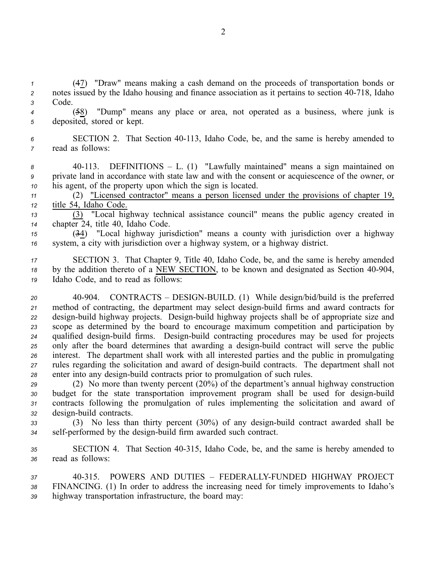*<sup>1</sup>* (47) "Draw" means making <sup>a</sup> cash demand on the proceeds of transportation bonds or 2 notes issued by the Idaho housing and finance association as it pertains to section 40-718, Idaho *<sup>3</sup>* Code.

*<sup>4</sup>* (58) "Dump" means any place or area, not operated as <sup>a</sup> business, where junk is *<sup>5</sup>* deposited, stored or kept.

*<sup>6</sup>* SECTION 2. That Section 40113, Idaho Code, be, and the same is hereby amended to *<sup>7</sup>* read as follows:

*<sup>8</sup>* 40113. DEFINITIONS – L. (1) "Lawfully maintained" means <sup>a</sup> sign maintained on *<sup>9</sup>* private land in accordance with state law and with the consent or acquiescence of the owner, or *<sup>10</sup>* his agent, of the property upon which the sign is located.

*<sup>11</sup>* (2) "Licensed contractor" means <sup>a</sup> person licensed under the provisions of chapter 19, *<sup>12</sup>* title 54, Idaho Code.

*<sup>13</sup>* (3) "Local highway technical assistance council" means the public agency created in *<sup>14</sup>* chapter 24, title 40, Idaho Code.

*<sup>15</sup>* (34) "Local highway jurisdiction" means <sup>a</sup> county with jurisdiction over <sup>a</sup> highway *<sup>16</sup>* system, <sup>a</sup> city with jurisdiction over <sup>a</sup> highway system, or <sup>a</sup> highway district.

*<sup>17</sup>* SECTION 3. That Chapter 9, Title 40, Idaho Code, be, and the same is hereby amended <sup>18</sup> by the addition thereto of a NEW SECTION, to be known and designated as Section 40-904, *<sup>19</sup>* Idaho Code, and to read as follows:

20 40-904. CONTRACTS – DESIGN-BUILD. (1) While design/bid/build is the preferred 21 method of contracting, the department may select design-build firms and award contracts for *22* design-build highway projects. Design-build highway projects shall be of appropriate size and *<sup>23</sup>* scope as determined by the board to encourage maximum competition and participation by 24 qualified design-build firms. Design-build contracting procedures may be used for projects 25 only after the board determines that awarding a design-build contract will serve the public *<sup>26</sup>* interest. The department shall work with all interested parties and the public in promulgating *<sup>27</sup>* rules regarding the solicitation and award of designbuild contracts. The department shall not *28* enter into any design-build contracts prior to promulgation of such rules.

 (2) No more than twenty percen<sup>t</sup> (20%) of the department's annual highway construction 30 budget for the state transportation improvement program shall be used for design-build contracts following the promulgation of rules implementing the solicitation and award of design-build contracts.

33 (3) No less than thirty percent (30%) of any design-build contract awarded shall be 34 self-performed by the design-build firm awarded such contract.

*<sup>35</sup>* SECTION 4. That Section 40315, Idaho Code, be, and the same is hereby amended to *<sup>36</sup>* read as follows:

*37* 40315. POWERS AND DUTIES – FEDERALLYFUNDED HIGHWAY PROJECT *<sup>38</sup>* FINANCING. (1) In order to address the increasing need for timely improvements to Idaho's *<sup>39</sup>* highway transportation infrastructure, the board may: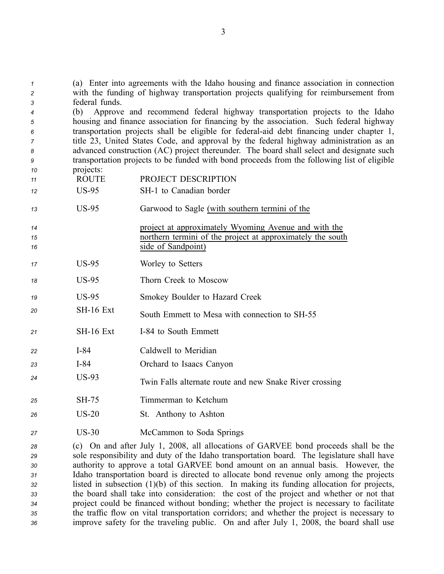*<sup>1</sup>* (a) Enter into agreements with the Idaho housing and finance association in connection *<sup>2</sup>* with the funding of highway transportation projects qualifying for reimbursement from *<sup>3</sup>* federal funds.

 (b) Approve and recommend federal highway transportation projects to the Idaho housing and finance association for financing by the association. Such federal highway transportation projects shall be eligible for federal-aid debt financing under chapter 1, title 23, United States Code, and approval by the federal highway administration as an advanced construction (AC) project thereunder. The board shall select and designate such transportation projects to be funded with bond proceeds from the following list of eligible projects:

- *<sup>11</sup>* ROUTE PROJECT DESCRIPTION
- 12 US-95 SH-1 to Canadian border

*<sup>13</sup>* US95 Garwood to Sagle (with southern termini of the

- *<sup>14</sup>* project at approximately Wyoming Avenue and with the *<sup>15</sup>* northern termini of the project at approximately the south 16 side of Sandpoint)
- 17 US-95 Worley to Setters
- 18 US-95 Thorn Creek to Moscow
- *<sup>19</sup>* US95 Smokey Boulder to Hazard Creek
- 20 **SH-16 Ext** South Emmett to Mesa with connection to SH-55
- 21 **SH-16 Ext** I-84 to South Emmett
- 22 **I-84** Caldwell to Meridian
- *<sup>23</sup>* I84 Orchard to Isaacs Canyon
- 24 US-93 Twin Falls alternate route and new Snake River crossing
- *<sup>25</sup>* SH75 Timmerman to Ketchum
- *<sup>26</sup>* US20 St. Anthony to Ashton
- 27 US-30 McCammon to Soda Springs

 (c) On and after July 1, 2008, all allocations of GARVEE bond proceeds shall be the sole responsibility and duty of the Idaho transportation board. The legislature shall have authority to approve <sup>a</sup> total GARVEE bond amount on an annual basis. However, the Idaho transportation board is directed to allocate bond revenue only among the projects listed in subsection (1)(b) of this section. In making its funding allocation for projects, the board shall take into consideration: the cost of the project and whether or not that project could be financed without bonding; whether the project is necessary to facilitate the traffic flow on vital transportation corridors; and whether the project is necessary to improve safety for the traveling public. On and after July 1, 2008, the board shall use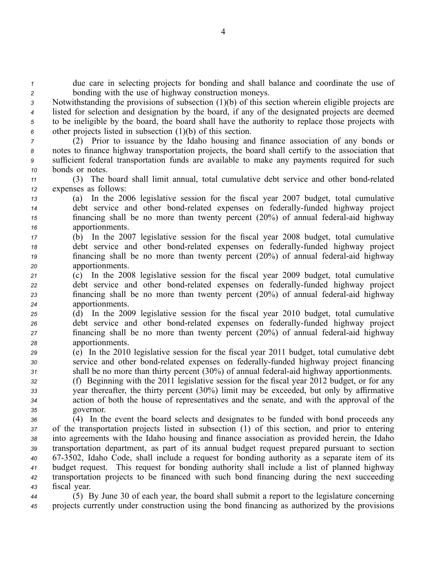*<sup>1</sup>* due care in selecting projects for bonding and shall balance and coordinate the use of *<sup>2</sup>* bonding with the use of highway construction moneys.

 Notwithstanding the provisions of subsection (1)(b) of this section wherein eligible projects are listed for selection and designation by the board, if any of the designated projects are deemed to be ineligible by the board, the board shall have the authority to replace those projects with other projects listed in subsection (1)(b) of this section.

 (2) Prior to issuance by the Idaho housing and finance association of any bonds or notes to finance highway transportation projects, the board shall certify to the association that sufficient federal transportation funds are available to make any payments required for such bonds or notes.

*<sup>11</sup>* (3) The board shall limit annual, total cumulative debt service and other bondrelated *<sup>12</sup>* expenses as follows:

 (a) In the 2006 legislative session for the fiscal year 2007 budget, total cumulative debt service and other bond-related expenses on federally-funded highway project financing shall be no more than twenty percent (20%) of annual federal-aid highway apportionments.

- *<sup>17</sup>* (b) In the 2007 legislative session for the fiscal year 2008 budget, total cumulative *18* debt service and other bond-related expenses on federally-funded highway project *19* financing shall be no more than twenty percent (20%) of annual federal-aid highway *<sup>20</sup>* apportionments.
- *<sup>21</sup>* (c) In the 2008 legislative session for the fiscal year 2009 budget, total cumulative *22* debt service and other bond-related expenses on federally-funded highway project *23* financing shall be no more than twenty percent (20%) of annual federal-aid highway *<sup>24</sup>* apportionments.
- *<sup>25</sup>* (d) In the 2009 legislative session for the fiscal year 2010 budget, total cumulative *26* debt service and other bond-related expenses on federally-funded highway project 27 financing shall be no more than twenty percent (20%) of annual federal-aid highway *<sup>28</sup>* apportionments.
- *<sup>29</sup>* (e) In the 2010 legislative session for the fiscal year 2011 budget, total cumulative debt *30* service and other bond-related expenses on federally-funded highway project financing *31* shall be no more than thirty percent (30%) of annual federal-aid highway apportionments.

 (f) Beginning with the 2011 legislative session for the fiscal year 2012 budget, or for any year thereafter, the thirty percen<sup>t</sup> (30%) limit may be exceeded, but only by affirmative action of both the house of representatives and the senate, and with the approval of the governor.

 (4) In the event the board selects and designates to be funded with bond proceeds any of the transportation projects listed in subsection (1) of this section, and prior to entering into agreements with the Idaho housing and finance association as provided herein, the Idaho transportation department, as par<sup>t</sup> of its annual budget reques<sup>t</sup> prepared pursuan<sup>t</sup> to section 673502, Idaho Code, shall include <sup>a</sup> reques<sup>t</sup> for bonding authority as <sup>a</sup> separate item of its budget request. This reques<sup>t</sup> for bonding authority shall include <sup>a</sup> list of planned highway transportation projects to be financed with such bond financing during the next succeeding fiscal year.

*<sup>44</sup>* (5) By June 30 of each year, the board shall submit <sup>a</sup> repor<sup>t</sup> to the legislature concerning *<sup>45</sup>* projects currently under construction using the bond financing as authorized by the provisions